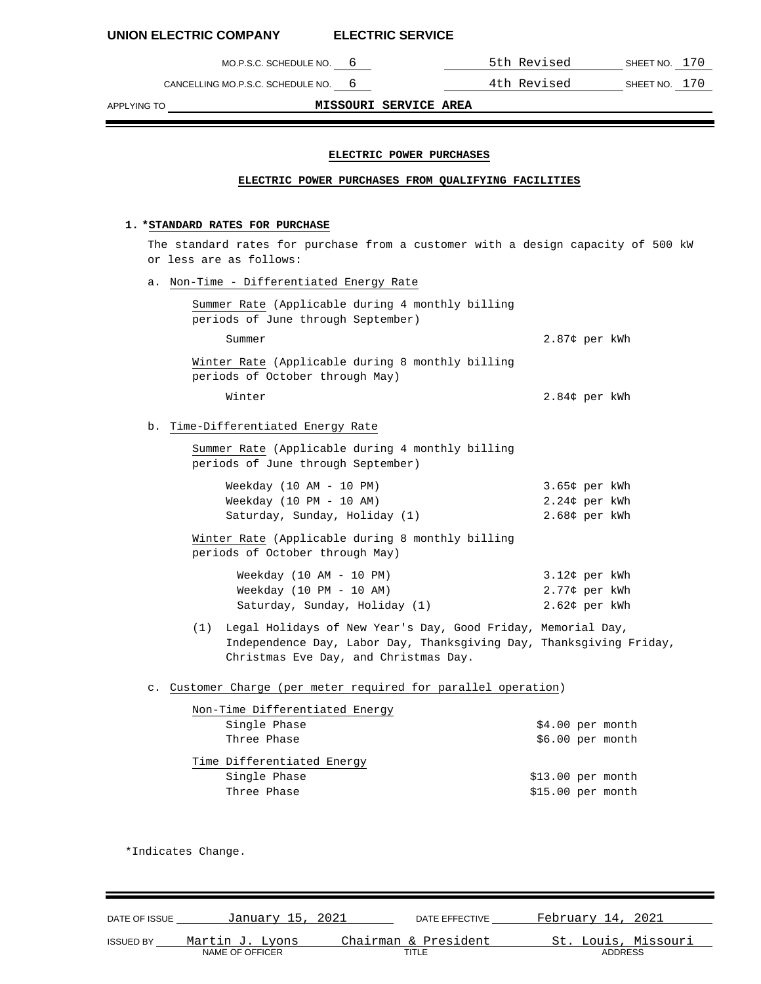CANCELLING MO.P.S.C. SCHEDULE NO. 6 4th Revised SHEET NO. 170

MO.P.S.C. SCHEDULE NO. 6 5th Revised SHEET NO. 170

APPLYING TO **MISSOURI SERVICE AREA**

## **ELECTRIC POWER PURCHASES**

## **ELECTRIC POWER PURCHASES FROM QUALIFYING FACILITIES**

# **1. \*STANDARD RATES FOR PURCHASE**

The standard rates for purchase from a customer with a design capacity of 500 kW or less are as follows:

a. Non-Time - Differentiated Energy Rate

| Summer Rate (Applicable during 4 monthly billing                                    |                  |
|-------------------------------------------------------------------------------------|------------------|
| periods of June through September)                                                  |                  |
| Summer                                                                              | 2.87¢ per kWh    |
| Winter Rate (Applicable during 8 monthly billing<br>periods of October through May) |                  |
| Winter                                                                              | $2.84$ ¢ per kWh |

# b. Time-Differentiated Energy Rate

Summer Rate (Applicable during 4 monthly billing periods of June through September)

| Weekday $(10 AM - 10 PM)$     | 3.65¢ per kWh |
|-------------------------------|---------------|
| Weekday $(10 PM - 10 AM)$     | 2.24¢ per kWh |
| Saturday, Sunday, Holiday (1) | 2.68¢ per kWh |

Winter Rate (Applicable during 8 monthly billing periods of October through May)

| Weekday (10 AM - 10 PM)       | 3.12¢ per kWh |  |
|-------------------------------|---------------|--|
| Weekday (10 PM - 10 AM)       | 2.77¢ per kWh |  |
| Saturday, Sunday, Holiday (1) | 2.62¢ per kWh |  |

(1) Legal Holidays of New Year's Day, Good Friday, Memorial Day, Independence Day, Labor Day, Thanksgiving Day, Thanksgiving Friday, Christmas Eve Day, and Christmas Day.

## c. Customer Charge (per meter required for parallel operation)

| Non-Time Differentiated Energy |                    |                   |
|--------------------------------|--------------------|-------------------|
| Single Phase                   |                    | $$4.00$ per month |
| Three Phase                    |                    | $$6.00$ per month |
| Time Differentiated Energy     |                    |                   |
| Single Phase                   | $$13.00$ per month |                   |
| Three Phase                    | $$15.00$ per month |                   |

\*Indicates Change.

| DATE OF ISSUE    | January 15, 2021 | DATE EFFECTIVE       | February 14, 2021   |
|------------------|------------------|----------------------|---------------------|
| <b>ISSUED BY</b> | Martin J. Lyons  | Chairman & President | St. Louis, Missouri |
|                  | NAME OF OFFICER  | TITLE                | ADDRESS             |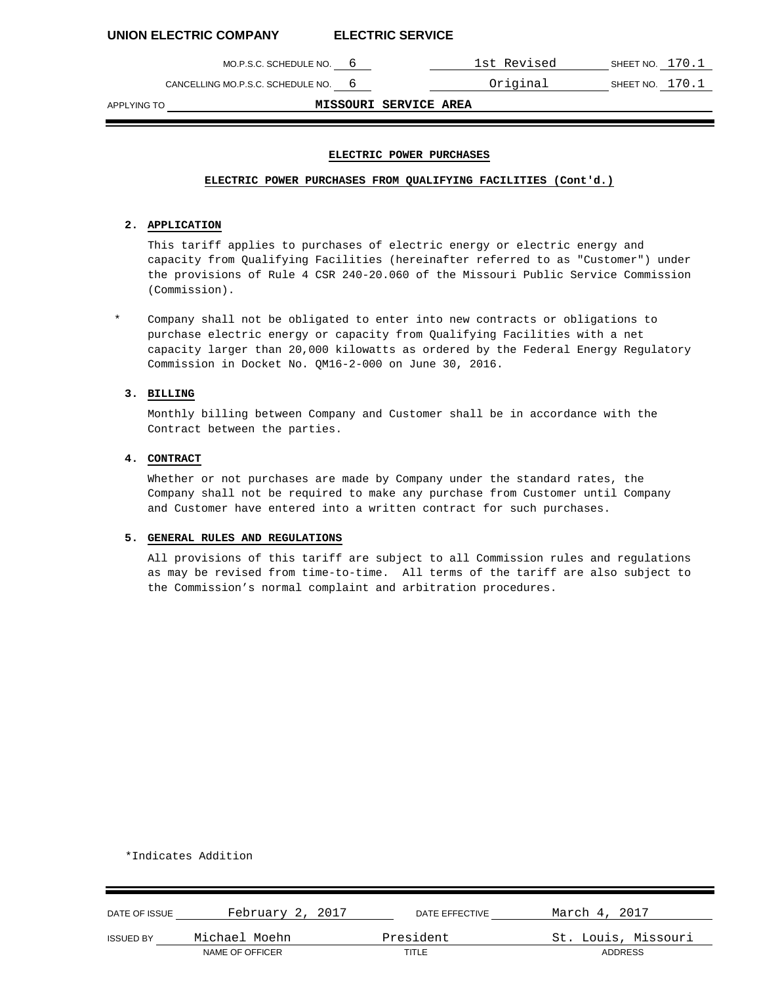MO.P.S.C. SCHEDULE NO. 6 1st Revised SHEET NO. 170.1

CANCELLING MO.P.S.C. SCHEDULE NO. 6 **CANCELLING MO.P.S.C.** SCHEDULE NO. 6

APPLYING TO **MISSOURI SERVICE AREA**

## **ELECTRIC POWER PURCHASES**

## **ELECTRIC POWER PURCHASES FROM QUALIFYING FACILITIES (Cont'd.)**

## **2. APPLICATION**

This tariff applies to purchases of electric energy or electric energy and capacity from Qualifying Facilities (hereinafter referred to as "Customer") under the provisions of Rule 4 CSR 240-20.060 of the Missouri Public Service Commission (Commission).

Company shall not be obligated to enter into new contracts or obligations to purchase electric energy or capacity from Qualifying Facilities with a net capacity larger than 20,000 kilowatts as ordered by the Federal Energy Regulatory Commission in Docket No. QM16-2-000 on June 30, 2016.

# **3. BILLING**

Monthly billing between Company and Customer shall be in accordance with the Contract between the parties.

# **4. CONTRACT**

Whether or not purchases are made by Company under the standard rates, the Company shall not be required to make any purchase from Customer until Company and Customer have entered into a written contract for such purchases.

## **5. GENERAL RULES AND REGULATIONS**

All provisions of this tariff are subject to all Commission rules and regulations as may be revised from time-to-time. All terms of the tariff are also subject to the Commission's normal complaint and arbitration procedures.

\*Indicates Addition

| DATE OF ISSUE    | February 2, 2017 | DATE EFFECTIVE | March 4, 2017       |
|------------------|------------------|----------------|---------------------|
| <b>ISSUED BY</b> | Michael Moehn    | President      | St. Louis, Missouri |
|                  | NAME OF OFFICER  | TITLE          | ADDRESS             |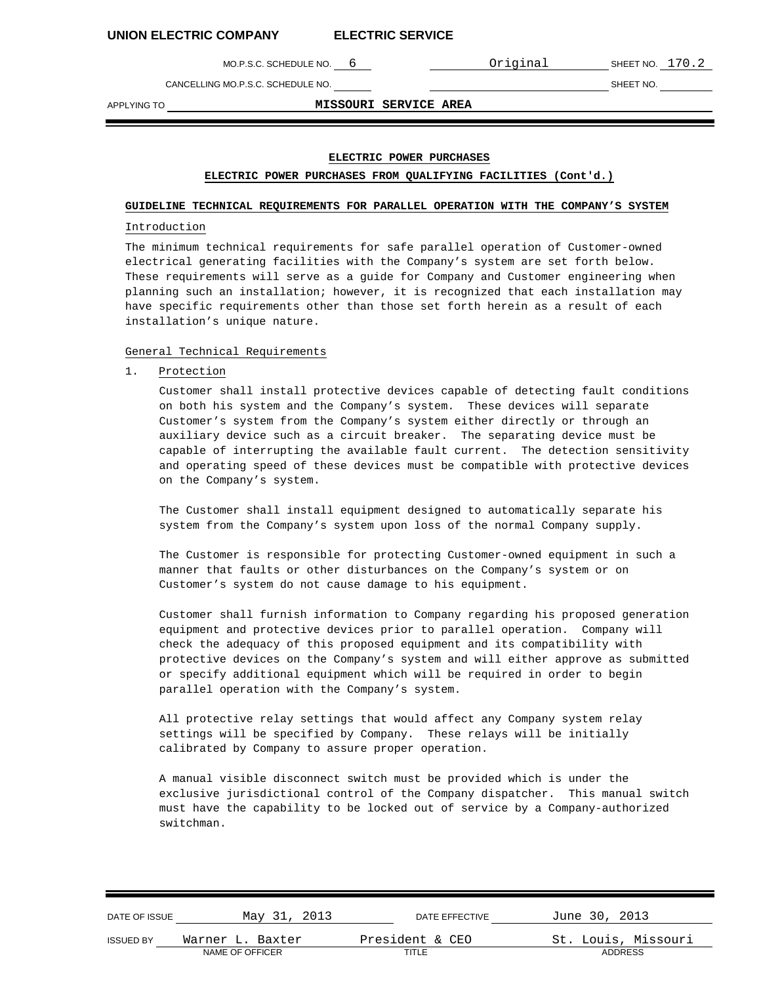MO.P.S.C. SCHEDULE NO. 6 **COLLANDIAL COMPUTE INC.** 2

CANCELLING MO.P.S.C. SCHEDULE NO. SHEET NO.

APPLYING TO **MISSOURI SERVICE AREA**

# **ELECTRIC POWER PURCHASES**

## **ELECTRIC POWER PURCHASES FROM QUALIFYING FACILITIES (Cont'd.)**

## **GUIDELINE TECHNICAL REQUIREMENTS FOR PARALLEL OPERATION WITH THE COMPANY'S SYSTEM**

#### Introduction

The minimum technical requirements for safe parallel operation of Customer-owned electrical generating facilities with the Company's system are set forth below. These requirements will serve as a guide for Company and Customer engineering when planning such an installation; however, it is recognized that each installation may have specific requirements other than those set forth herein as a result of each installation's unique nature.

### General Technical Requirements

1. Protection

Customer shall install protective devices capable of detecting fault conditions on both his system and the Company's system. These devices will separate Customer's system from the Company's system either directly or through an auxiliary device such as a circuit breaker. The separating device must be capable of interrupting the available fault current. The detection sensitivity and operating speed of these devices must be compatible with protective devices on the Company's system.

The Customer shall install equipment designed to automatically separate his system from the Company's system upon loss of the normal Company supply.

The Customer is responsible for protecting Customer-owned equipment in such a manner that faults or other disturbances on the Company's system or on Customer's system do not cause damage to his equipment.

Customer shall furnish information to Company regarding his proposed generation equipment and protective devices prior to parallel operation. Company will check the adequacy of this proposed equipment and its compatibility with protective devices on the Company's system and will either approve as submitted or specify additional equipment which will be required in order to begin parallel operation with the Company's system.

All protective relay settings that would affect any Company system relay settings will be specified by Company. These relays will be initially calibrated by Company to assure proper operation.

A manual visible disconnect switch must be provided which is under the exclusive jurisdictional control of the Company dispatcher. This manual switch must have the capability to be locked out of service by a Company-authorized switchman.

| DATE OF ISSUE    | May 31, 2013     | DATE EFFECTIVE  | June 30, 2013       |
|------------------|------------------|-----------------|---------------------|
| <b>ISSUED BY</b> | Warner L. Baxter | President & CEO | St. Louis, Missouri |
|                  | NAME OF OFFICER  | TITLE           | <b>ADDRESS</b>      |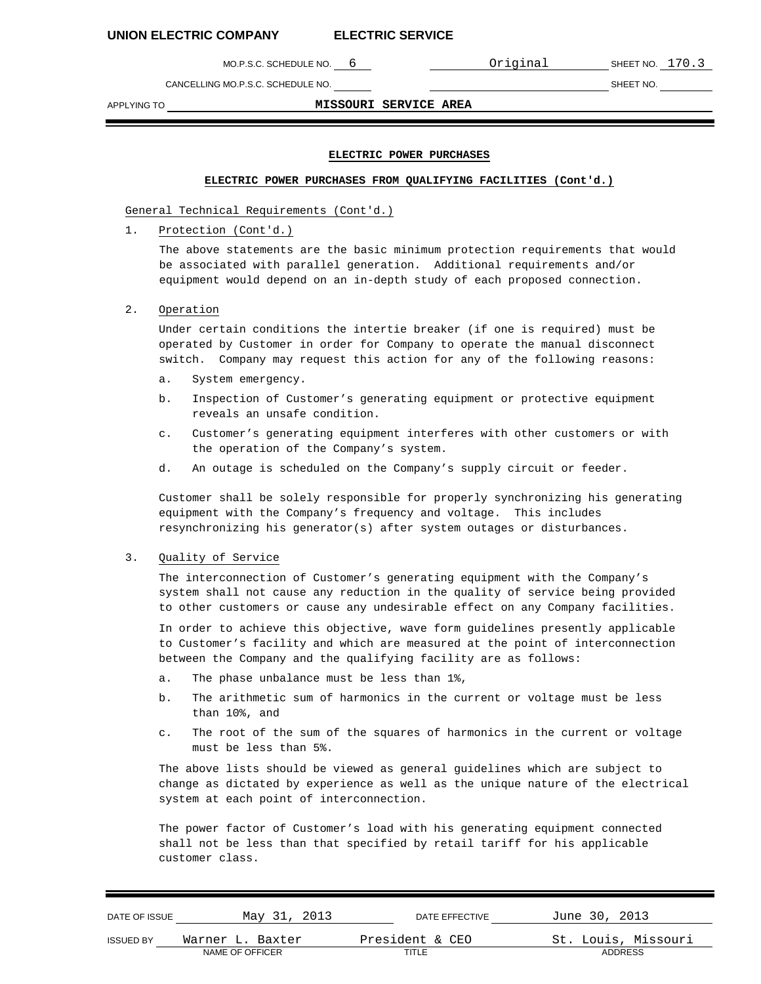MO.P.S.C. SCHEDULE NO. 6 **CONTACT CONTACT CONTACT SHEET NO. 170.3** 

CANCELLING MO.P.S.C. SCHEDULE NO. SHEET NO.

APPLYING TO **MISSOURI SERVICE AREA**

### **ELECTRIC POWER PURCHASES**

### **ELECTRIC POWER PURCHASES FROM QUALIFYING FACILITIES (Cont'd.)**

General Technical Requirements (Cont'd.)

1. Protection (Cont'd.)

The above statements are the basic minimum protection requirements that would be associated with parallel generation. Additional requirements and/or equipment would depend on an in-depth study of each proposed connection.

2. Operation

Under certain conditions the intertie breaker (if one is required) must be operated by Customer in order for Company to operate the manual disconnect switch. Company may request this action for any of the following reasons:

- a. System emergency.
- b. Inspection of Customer's generating equipment or protective equipment reveals an unsafe condition.
- c. Customer's generating equipment interferes with other customers or with the operation of the Company's system.
- d. An outage is scheduled on the Company's supply circuit or feeder.

Customer shall be solely responsible for properly synchronizing his generating equipment with the Company's frequency and voltage. This includes resynchronizing his generator(s) after system outages or disturbances.

## 3. Quality of Service

The interconnection of Customer's generating equipment with the Company's system shall not cause any reduction in the quality of service being provided to other customers or cause any undesirable effect on any Company facilities.

In order to achieve this objective, wave form guidelines presently applicable to Customer's facility and which are measured at the point of interconnection between the Company and the qualifying facility are as follows:

- a. The phase unbalance must be less than 1%,
- b. The arithmetic sum of harmonics in the current or voltage must be less than 10%, and
- c. The root of the sum of the squares of harmonics in the current or voltage must be less than 5%.

The above lists should be viewed as general guidelines which are subject to change as dictated by experience as well as the unique nature of the electrical system at each point of interconnection.

The power factor of Customer's load with his generating equipment connected shall not be less than that specified by retail tariff for his applicable customer class.

| DATE OF ISSUE    | May 31, 2013     | DATE EFFECTIVE  | June 30, 2013       |
|------------------|------------------|-----------------|---------------------|
| <b>ISSUED BY</b> | Warner L. Baxter | President & CEO | St. Louis, Missouri |
|                  | NAME OF OFFICER  | TITLE           | <b>ADDRESS</b>      |